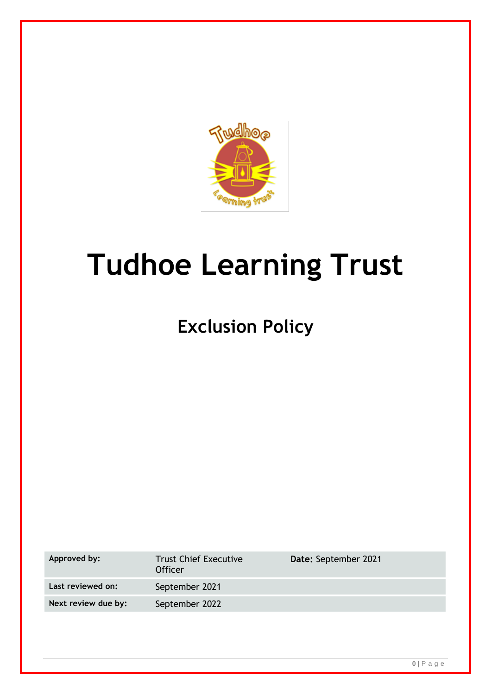

# **Tudhoe Learning Trust**

# **Exclusion Policy**

| Approved by:        | <b>Trust Chief Executive</b><br>Officer | Date: September 2021 |
|---------------------|-----------------------------------------|----------------------|
| Last reviewed on:   | September 2021                          |                      |
| Next review due by: | September 2022                          |                      |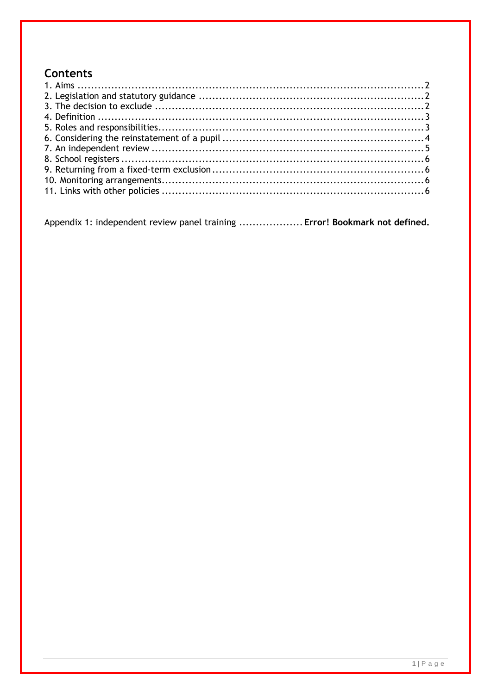# **Contents**

Appendix 1: independent review panel training ................... Error! Bookmark not defined.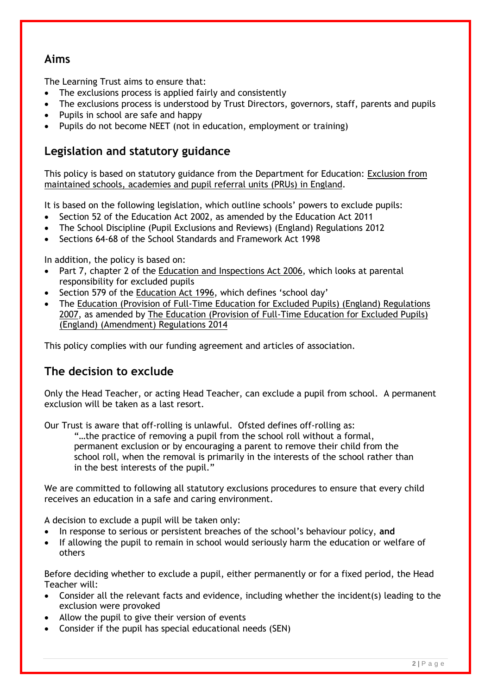# **Aims**

The Learning Trust aims to ensure that:

- The exclusions process is applied fairly and consistently
- The exclusions process is understood by Trust Directors, governors, staff, parents and pupils
- Pupils in school are safe and happy
- Pupils do not become NEET (not in education, employment or training)

# **Legislation and statutory guidance**

This policy is based on statutory guidance from the Department for Education: [Exclusion from](https://www.gov.uk/government/publications/school-exclusion)  [maintained schools, academies and pupil referral units \(PRUs\) in England.](https://www.gov.uk/government/publications/school-exclusion)

It is based on the following legislation, which outline schools' powers to exclude pupils:

- Section 52 of the [Education Act 2002,](http://www.legislation.gov.uk/ukpga/2002/32/section/52) as amended by the [Education Act 2011](http://www.legislation.gov.uk/ukpga/2011/21/contents/enacted)
- [The School Discipline \(Pupil Exclusions and Reviews\) \(England\) Regulations 2012](http://www.legislation.gov.uk/uksi/2012/1033/made)
- Sections 64-68 of the [School Standards and Framework Act 1998](http://www.legislation.gov.uk/ukpga/1998/31)

In addition, the policy is based on:

- Part 7, chapter 2 of the [Education and Inspections Act 2006,](http://www.legislation.gov.uk/ukpga/2006/40/part/7/chapter/2) which looks at parental responsibility for excluded pupils
- Section 579 of the [Education Act 1996](http://www.legislation.gov.uk/ukpga/1996/56/section/579), which defines 'school day'
- The [Education \(Provision of Full-Time Education for Excluded Pupils\) \(England\) Regulations](http://www.legislation.gov.uk/uksi/2007/1870/contents/made)  [2007,](http://www.legislation.gov.uk/uksi/2007/1870/contents/made) as amended by [The Education \(Provision of Full-Time Education for Excluded Pupils\)](http://www.legislation.gov.uk/uksi/2014/3216/contents/made)  [\(England\) \(Amendment\) Regulations 2014](http://www.legislation.gov.uk/uksi/2014/3216/contents/made)

This policy complies with our funding agreement and articles of association.

# **The decision to exclude**

Only the Head Teacher, or acting Head Teacher, can exclude a pupil from school. A permanent exclusion will be taken as a last resort.

Our Trust is aware that off-rolling is unlawful. Ofsted defines off-rolling as:

"…the practice of removing a pupil from the school roll without a formal, permanent exclusion or by encouraging a parent to remove their child from the school roll, when the removal is primarily in the interests of the school rather than in the best interests of the pupil."

We are committed to following all statutory exclusions procedures to ensure that every child receives an education in a safe and caring environment.

A decision to exclude a pupil will be taken only:

- In response to serious or persistent breaches of the school's behaviour policy, **and**
- If allowing the pupil to remain in school would seriously harm the education or welfare of others

Before deciding whether to exclude a pupil, either permanently or for a fixed period, the Head Teacher will:

- Consider all the relevant facts and evidence, including whether the incident(s) leading to the exclusion were provoked
- Allow the pupil to give their version of events
- Consider if the pupil has special educational needs (SEN)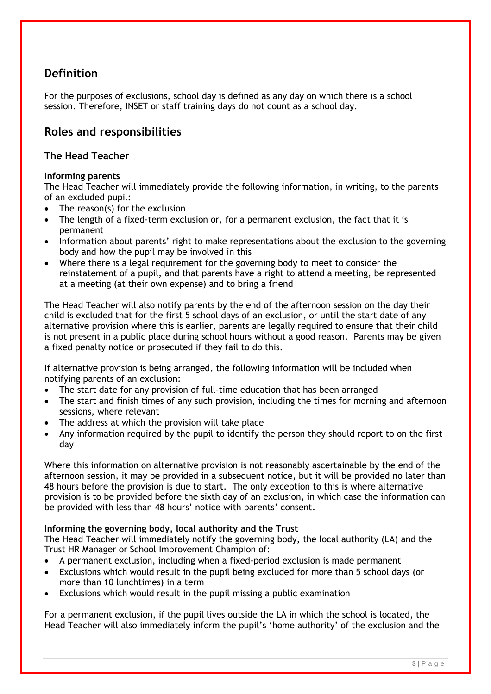# **Definition**

For the purposes of exclusions, school day is defined as any day on which there is a school session. Therefore, INSET or staff training days do not count as a school day.

# **Roles and responsibilities**

#### **The Head Teacher**

#### **Informing parents**

The Head Teacher will immediately provide the following information, in writing, to the parents of an excluded pupil:

- The reason(s) for the exclusion
- The length of a fixed-term exclusion or, for a permanent exclusion, the fact that it is permanent
- Information about parents' right to make representations about the exclusion to the governing body and how the pupil may be involved in this
- Where there is a legal requirement for the governing body to meet to consider the reinstatement of a pupil, and that parents have a right to attend a meeting, be represented at a meeting (at their own expense) and to bring a friend

The Head Teacher will also notify parents by the end of the afternoon session on the day their child is excluded that for the first 5 school days of an exclusion, or until the start date of any alternative provision where this is earlier, parents are legally required to ensure that their child is not present in a public place during school hours without a good reason. Parents may be given a fixed penalty notice or prosecuted if they fail to do this.

If alternative provision is being arranged, the following information will be included when notifying parents of an exclusion:

- The start date for any provision of full-time education that has been arranged
- The start and finish times of any such provision, including the times for morning and afternoon sessions, where relevant
- The address at which the provision will take place
- Any information required by the pupil to identify the person they should report to on the first day

Where this information on alternative provision is not reasonably ascertainable by the end of the afternoon session, it may be provided in a subsequent notice, but it will be provided no later than 48 hours before the provision is due to start. The only exception to this is where alternative provision is to be provided before the sixth day of an exclusion, in which case the information can be provided with less than 48 hours' notice with parents' consent.

#### **Informing the governing body, local authority and the Trust**

The Head Teacher will immediately notify the governing body, the local authority (LA) and the Trust HR Manager or School Improvement Champion of:

- A permanent exclusion, including when a fixed-period exclusion is made permanent
- Exclusions which would result in the pupil being excluded for more than 5 school days (or more than 10 lunchtimes) in a term
- Exclusions which would result in the pupil missing a public examination

For a permanent exclusion, if the pupil lives outside the LA in which the school is located, the Head Teacher will also immediately inform the pupil's 'home authority' of the exclusion and the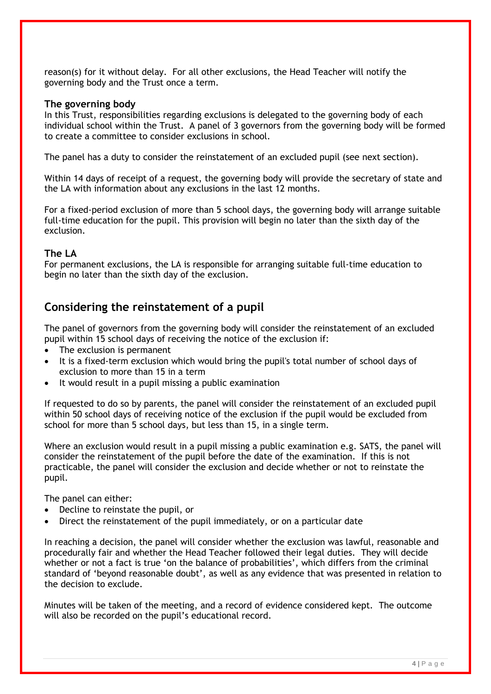reason(s) for it without delay. For all other exclusions, the Head Teacher will notify the governing body and the Trust once a term.

#### **The governing body**

In this Trust, responsibilities regarding exclusions is delegated to the governing body of each individual school within the Trust. A panel of 3 governors from the governing body will be formed to create a committee to consider exclusions in school.

The panel has a duty to consider the reinstatement of an excluded pupil (see next section).

Within 14 days of receipt of a request, the governing body will provide the secretary of state and the LA with information about any exclusions in the last 12 months.

For a fixed-period exclusion of more than 5 school days, the governing body will arrange suitable full-time education for the pupil. This provision will begin no later than the sixth day of the exclusion.

#### **The LA**

For permanent exclusions, the LA is responsible for arranging suitable full-time education to begin no later than the sixth day of the exclusion.

# **Considering the reinstatement of a pupil**

The panel of governors from the governing body will consider the reinstatement of an excluded pupil within 15 school days of receiving the notice of the exclusion if:

- The exclusion is permanent
- It is a fixed-term exclusion which would bring the pupil's total number of school days of exclusion to more than 15 in a term
- It would result in a pupil missing a public examination

If requested to do so by parents, the panel will consider the reinstatement of an excluded pupil within 50 school days of receiving notice of the exclusion if the pupil would be excluded from school for more than 5 school days, but less than 15, in a single term.

Where an exclusion would result in a pupil missing a public examination e.g. SATS, the panel will consider the reinstatement of the pupil before the date of the examination. If this is not practicable, the panel will consider the exclusion and decide whether or not to reinstate the pupil.

The panel can either:

- Decline to reinstate the pupil, or
- Direct the reinstatement of the pupil immediately, or on a particular date

In reaching a decision, the panel will consider whether the exclusion was lawful, reasonable and procedurally fair and whether the Head Teacher followed their legal duties. They will decide whether or not a fact is true 'on the balance of probabilities', which differs from the criminal standard of 'beyond reasonable doubt', as well as any evidence that was presented in relation to the decision to exclude.

Minutes will be taken of the meeting, and a record of evidence considered kept. The outcome will also be recorded on the pupil's educational record.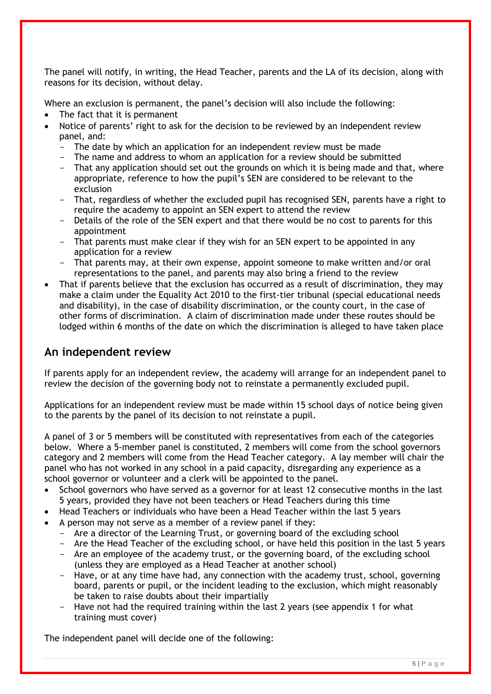The panel will notify, in writing, the Head Teacher, parents and the LA of its decision, along with reasons for its decision, without delay.

Where an exclusion is permanent, the panel's decision will also include the following:

- The fact that it is permanent
- Notice of parents' right to ask for the decision to be reviewed by an independent review panel, and:
	- The date by which an application for an independent review must be made
	- The name and address to whom an application for a review should be submitted
	- That any application should set out the grounds on which it is being made and that, where appropriate, reference to how the pupil's SEN are considered to be relevant to the exclusion
	- That, regardless of whether the excluded pupil has recognised SEN, parents have a right to require the academy to appoint an SEN expert to attend the review
	- Details of the role of the SEN expert and that there would be no cost to parents for this appointment
	- That parents must make clear if they wish for an SEN expert to be appointed in any application for a review
	- That parents may, at their own expense, appoint someone to make written and/or oral representations to the panel, and parents may also bring a friend to the review
- That if parents believe that the exclusion has occurred as a result of discrimination, they may make a claim under the Equality Act 2010 to the first-tier tribunal (special educational needs and disability), in the case of disability discrimination, or the county court, in the case of other forms of discrimination. A claim of discrimination made under these routes should be lodged within 6 months of the date on which the discrimination is alleged to have taken place

## **An independent review**

If parents apply for an independent review, the academy will arrange for an independent panel to review the decision of the governing body not to reinstate a permanently excluded pupil.

Applications for an independent review must be made within 15 school days of notice being given to the parents by the panel of its decision to not reinstate a pupil.

A panel of 3 or 5 members will be constituted with representatives from each of the categories below. Where a 5-member panel is constituted, 2 members will come from the school governors category and 2 members will come from the Head Teacher category. A lay member will chair the panel who has not worked in any school in a paid capacity, disregarding any experience as a school governor or volunteer and a clerk will be appointed to the panel.

- School governors who have served as a governor for at least 12 consecutive months in the last 5 years, provided they have not been teachers or Head Teachers during this time
- Head Teachers or individuals who have been a Head Teacher within the last 5 years
- A person may not serve as a member of a review panel if they:
	- Are a director of the Learning Trust, or governing board of the excluding school
	- Are the Head Teacher of the excluding school, or have held this position in the last 5 years
	- Are an employee of the academy trust, or the governing board, of the excluding school (unless they are employed as a Head Teacher at another school)
	- Have, or at any time have had, any connection with the academy trust, school, governing board, parents or pupil, or the incident leading to the exclusion, which might reasonably be taken to raise doubts about their impartially
	- Have not had the required training within the last 2 years (see appendix 1 for what training must cover)

The independent panel will decide one of the following: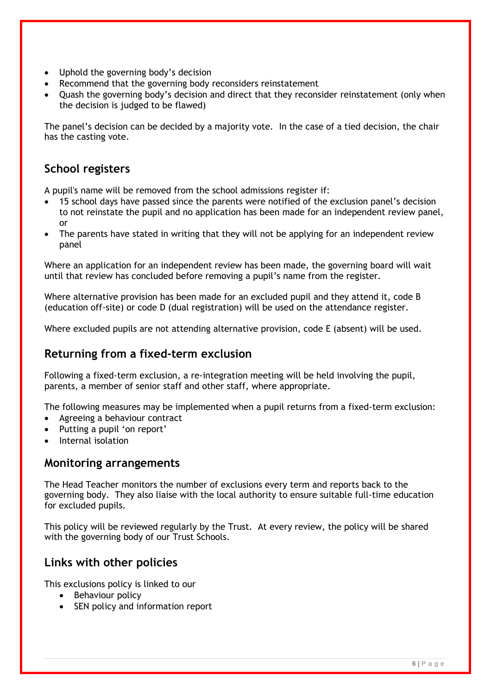- Uphold the governing body's decision
- Recommend that the governing body reconsiders reinstatement
- Quash the governing body's decision and direct that they reconsider reinstatement (only when the decision is judged to be flawed)

The panel's decision can be decided by a majority vote. In the case of a tied decision, the chair has the casting vote.

# **School registers**

A pupil's name will be removed from the school admissions register if:

- 15 school days have passed since the parents were notified of the exclusion panel's decision to not reinstate the pupil and no application has been made for an independent review panel, or
- The parents have stated in writing that they will not be applying for an independent review panel

Where an application for an independent review has been made, the governing board will wait until that review has concluded before removing a pupil's name from the register.

Where alternative provision has been made for an excluded pupil and they attend it, code B (education off-site) or code D (dual registration) will be used on the attendance register.

Where excluded pupils are not attending alternative provision, code E (absent) will be used.

# **Returning from a fixed-term exclusion**

Following a fixed-term exclusion, a re-integration meeting will be held involving the pupil, parents, a member of senior staff and other staff, where appropriate.

The following measures may be implemented when a pupil returns from a fixed-term exclusion:

- Agreeing a behaviour contract
- Putting a pupil 'on report'
- Internal isolation

### **Monitoring arrangements**

The Head Teacher monitors the number of exclusions every term and reports back to the governing body. They also liaise with the local authority to ensure suitable full-time education for excluded pupils.

This policy will be reviewed regularly by the Trust. At every review, the policy will be shared with the governing body of our Trust Schools.

# **Links with other policies**

This exclusions policy is linked to our

- Behaviour policy
- SEN policy and information report